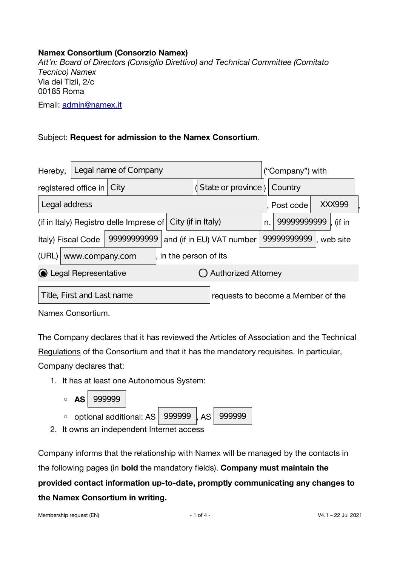## **Namex Consortium (Consorzio Namex)**

*Att'n: Board of Directors (Consiglio Direttivo) and Technical Committee (Comitato Tecnico) Namex* Via dei Tizii, 2/c 00185 Roma Email: [admin@namex.it](mailto:admin@namex.it;%20sales@namex.it?subject=Membership%20request%20to%20the%20Consortium)

## Subject: **Request for admission to the Namex Consortium**.

| Hereby,                                                             | Legal name of Company |      |                                    |                           |                        | ("Company") with |  |  |  |
|---------------------------------------------------------------------|-----------------------|------|------------------------------------|---------------------------|------------------------|------------------|--|--|--|
|                                                                     | registered office in  | City | State or province $\vert$          |                           |                        | Country          |  |  |  |
| Legal address<br>, Post code                                        |                       |      |                                    |                           | XXX999                 |                  |  |  |  |
| City (if in Italy)<br>(if in Italy) Registro delle Imprese of<br>n. |                       |      | 9999999999                         |                           | , (if in               |                  |  |  |  |
| 9999999999<br>Italy) Fiscal Code                                    |                       |      |                                    | and (if in EU) VAT number | 9999999999<br>web site |                  |  |  |  |
| (URL)<br>in the person of its<br>www.company.com                    |                       |      |                                    |                           |                        |                  |  |  |  |
| ⊙ Legal Representative                                              |                       |      |                                    | Authorized Attorney       |                        |                  |  |  |  |
| Title, First and Last name                                          |                       |      | requests to become a Member of the |                           |                        |                  |  |  |  |

Namex Consortium.

The Company declares that it has reviewed the Articles of Association and the Technical Regulations of the Consortium and that it has the mandatory requisites. In particular,

Company declares that:

- 1. It has at least one Autonomous System:
	- **AS** 999999
	- $\circ$  optional additional: AS  $\sqrt{999999}$ , AS 999999
- 2. It owns an independent Internet access

Company informs that the relationship with Namex will be managed by the contacts in the following pages (in **bold** the mandatory felds). **Company must maintain the provided contact information up-to-date, promptly communicating any changes to the Namex Consortium in writing.**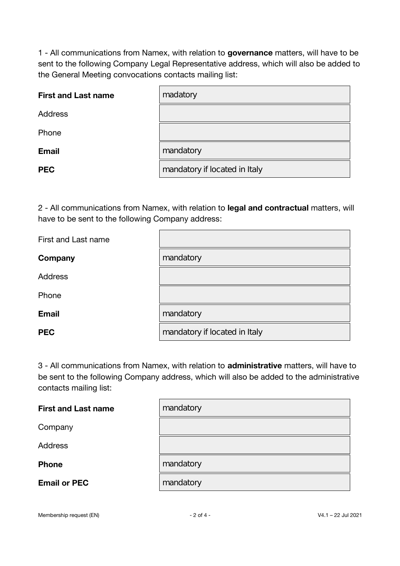1 - All communications from Namex, with relation to **governance** matters, will have to be sent to the following Company Legal Representative address, which will also be added to the General Meeting convocations contacts mailing list:

| <b>First and Last name</b> | madatory                      |
|----------------------------|-------------------------------|
| <b>Address</b>             |                               |
| Phone                      |                               |
| <b>Email</b>               | mandatory                     |
| <b>PEC</b>                 | mandatory if located in Italy |

2 - All communications from Namex, with relation to **legal and contractual** matters, will have to be sent to the following Company address:

| First and Last name |                               |
|---------------------|-------------------------------|
| Company             | mandatory                     |
| <b>Address</b>      |                               |
| Phone               |                               |
| <b>Email</b>        | mandatory                     |
| <b>PEC</b>          | mandatory if located in Italy |

3 - All communications from Namex, with relation to **administrative** matters, will have to be sent to the following Company address, which will also be added to the administrative contacts mailing list:

| <b>First and Last name</b> | mandatory |
|----------------------------|-----------|
| Company                    |           |
| <b>Address</b>             |           |
| <b>Phone</b>               | mandatory |
| <b>Email or PEC</b>        | mandatory |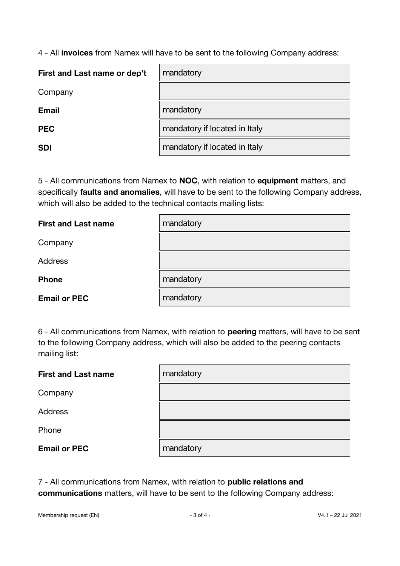4 - All **invoices** from Namex will have to be sent to the following Company address:

| First and Last name or dep't | mandatory                     |
|------------------------------|-------------------------------|
| Company                      |                               |
| <b>Email</b>                 | mandatory                     |
| <b>PEC</b>                   | mandatory if located in Italy |
| <b>SDI</b>                   | mandatory if located in Italy |

5 - All communications from Namex to **NOC**, with relation to **equipment** matters, and specifcally **faults and anomalies**, will have to be sent to the following Company address, which will also be added to the technical contacts mailing lists:

| <b>First and Last name</b> | mandatory |
|----------------------------|-----------|
| Company                    |           |
| <b>Address</b>             |           |
| <b>Phone</b>               | mandatory |
| <b>Email or PEC</b>        | mandatory |

6 - All communications from Namex, with relation to **peering** matters, will have to be sent to the following Company address, which will also be added to the peering contacts mailing list:

| <b>First and Last name</b> | mandatory |
|----------------------------|-----------|
| Company                    |           |
| <b>Address</b>             |           |
| Phone                      |           |
| <b>Email or PEC</b>        | mandatory |

7 - All communications from Namex, with relation to **public relations and communications** matters, will have to be sent to the following Company address: